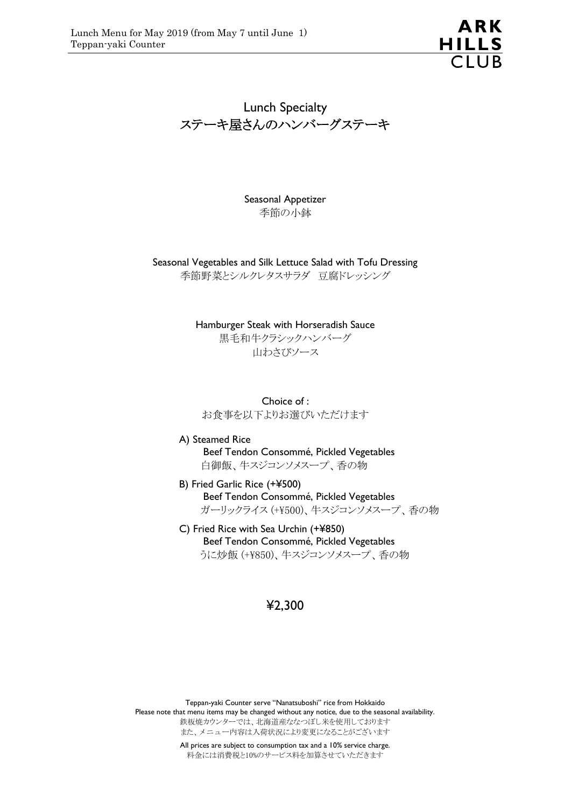

Lunch Specialty ステーキ屋さんのハンバーグステーキ

Seasonal Appetizer 季節の小鉢

Seasonal Vegetables and Silk Lettuce Salad with Tofu Dressing 季節野菜とシルクレタスサラダ 豆腐ドレッシング

Hamburger Steak with Horseradish Sauce

黒毛和牛クラシックハンバーグ 山わさびソース

Choice of : お食事を以下よりお選びいただけます

- A) Steamed Rice Beef Tendon Consommé, Pickled Vegetables 白御飯、牛スジコンソメスープ、香の物
- B) Fried Garlic Rice (+¥500) Beef Tendon Consommé, Pickled Vegetables ガーリックライス (+¥500)、牛スジコンソメスープ、香の物
- C) Fried Rice with Sea Urchin (+¥850) Beef Tendon Consommé, Pickled Vegetables うに炒飯 (+¥850)、牛スジコンソメスープ、香の物

### ¥2,300

Teppan-yaki Counter serve "Nanatsuboshi" rice from Hokkaido Please note that menu items may be changed without any notice, due to the seasonal availability. 鉄板焼カウンターでは、北海道産ななつぼし米を使用しております また、メニュー内容は入荷状況により変更になることがございます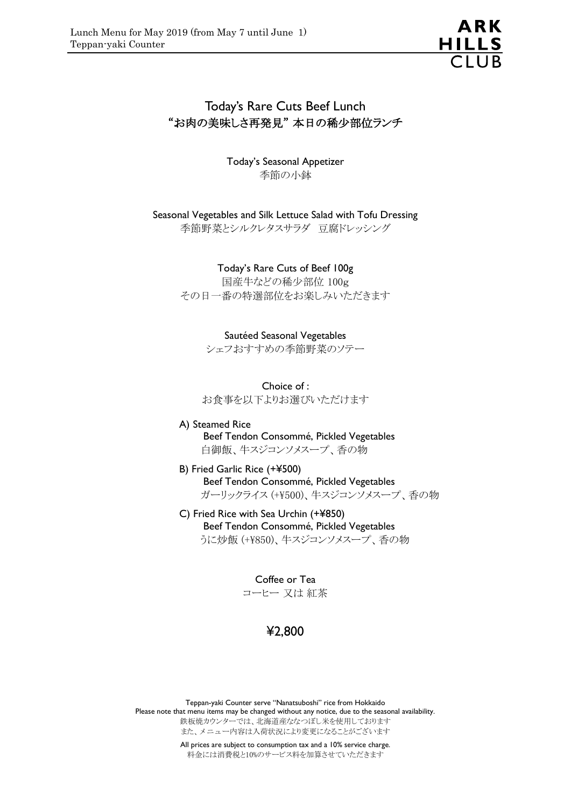

# Today's Rare Cuts Beef Lunch "お肉の美味しさ再発見" 本日の稀少部位ランチ

Today's Seasonal Appetizer 季節の小鉢

Seasonal Vegetables and Silk Lettuce Salad with Tofu Dressing 季節野菜とシルクレタスサラダ 豆腐ドレッシング

> Today's Rare Cuts of Beef 100g 国産牛などの稀少部位 100g その日一番の特選部位をお楽しみいただきます

Sautéed Seasonal Vegetables シェフおすすめの季節野菜のソテー

Choice of : お食事を以下よりお選びいただけます

- A) Steamed Rice Beef Tendon Consommé, Pickled Vegetables 白御飯、牛スジコンソメスープ、香の物
- B) Fried Garlic Rice (+¥500) Beef Tendon Consommé, Pickled Vegetables ガーリックライス (+¥500)、牛スジコンソメスープ、香の物
- C) Fried Rice with Sea Urchin (+¥850) Beef Tendon Consommé, Pickled Vegetables うに炒飯 (+¥850)、牛スジコンソメスープ、香の物

Coffee or Tea コーヒー 又は 紅茶

# ¥2,800

Teppan-yaki Counter serve "Nanatsuboshi" rice from Hokkaido Please note that menu items may be changed without any notice, due to the seasonal availability. 鉄板焼カウンターでは、北海道産ななつぼし米を使用しております また、メニュー内容は入荷状況により変更になることがございます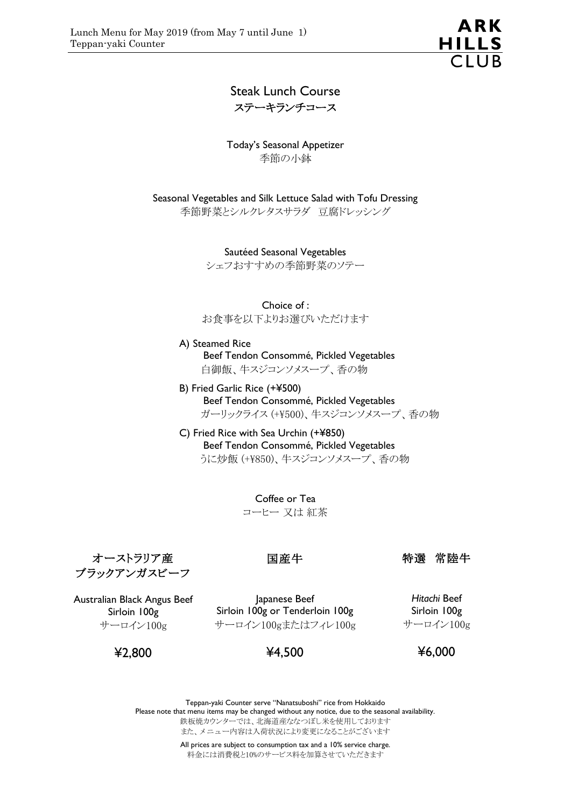

## Steak Lunch Course ステーキランチコース

Today's Seasonal Appetizer 季節の小鉢

Seasonal Vegetables and Silk Lettuce Salad with Tofu Dressing 季節野菜とシルクレタスサラダ 豆腐ドレッシング

> Sautéed Seasonal Vegetables シェフおすすめの季節野菜のソテー

> > Choice of :

お食事を以下よりお選びいただけます

#### A) Steamed Rice

 Beef Tendon Consommé, Pickled Vegetables 白御飯、牛スジコンソメスープ、香の物

- B) Fried Garlic Rice (+¥500) Beef Tendon Consommé, Pickled Vegetables ガーリックライス (+¥500)、牛スジコンソメスープ、香の物
- C) Fried Rice with Sea Urchin (+¥850) Beef Tendon Consommé, Pickled Vegetables うに炒飯 (+¥850)、牛スジコンソメスープ、香の物

Coffee or Tea コーヒー 又は 紅茶

オーストラリア産 ブラックアンガスビーフ

### 国産牛

特選 常陸牛

Australian Black Angus Beef Sirloin 100g サーロイン100g

Japanese Beef Sirloin 100g or Tenderloin 100g サーロイン100gまたはフィレ100g

*Hitachi* Beef Sirloin 100g サーロイン100g

### ¥2,800



¥6,000

Teppan-yaki Counter serve "Nanatsuboshi" rice from Hokkaido

Please note that menu items may be changed without any notice, due to the seasonal availability. 鉄板焼カウンターでは、北海道産ななつぼし米を使用しております また、メニュー内容は入荷状況により変更になることがございます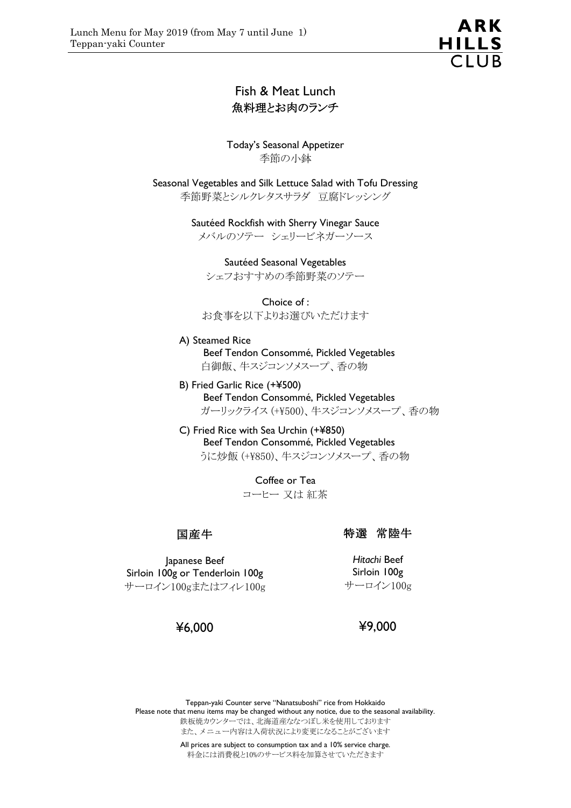

## Fish & Meat Lunch 魚料理とお肉のランチ

Today's Seasonal Appetizer 季節の小鉢

Seasonal Vegetables and Silk Lettuce Salad with Tofu Dressing 季節野菜とシルクレタスサラダ 豆腐ドレッシング

> Sautéed Rockfish with Sherry Vinegar Sauce メバルのソテー シェリービネガーソース

Sautéed Seasonal Vegetables シェフおすすめの季節野菜のソテー

Choice of : お食事を以下よりお選びいただけます

#### A) Steamed Rice

 Beef Tendon Consommé, Pickled Vegetables 白御飯、牛スジコンソメスープ、香の物

- B) Fried Garlic Rice (+¥500) Beef Tendon Consommé, Pickled Vegetables ガーリックライス (+¥500)、牛スジコンソメスープ、香の物
- C) Fried Rice with Sea Urchin (+¥850) Beef Tendon Consommé, Pickled Vegetables うに炒飯 (+¥850)、牛スジコンソメスープ、香の物

Coffee or Tea コーヒー 又は 紅茶

#### 国産牛

#### 特選 常陸牛

Japanese Beef Sirloin 100g or Tenderloin 100g サーロイン100gまたはフィレ100g

*Hitachi* Beef Sirloin 100g サーロイン100g

### ¥6,000

¥9,000

Teppan-yaki Counter serve "Nanatsuboshi" rice from Hokkaido Please note that menu items may be changed without any notice, due to the seasonal availability. 鉄板焼カウンターでは、北海道産ななつぼし米を使用しております また、メニュー内容は入荷状況により変更になることがございます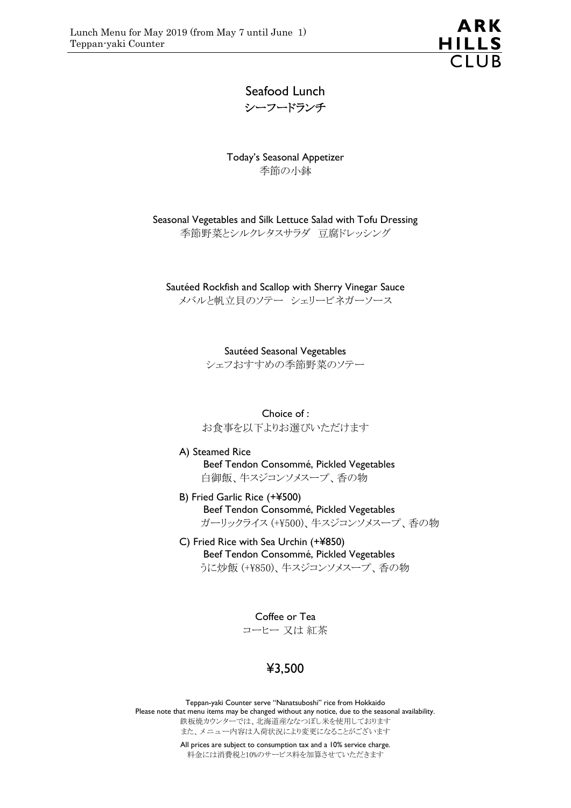

## Seafood Lunch シーフードランチ

Today's Seasonal Appetizer 季節の小鉢

Seasonal Vegetables and Silk Lettuce Salad with Tofu Dressing 季節野菜とシルクレタスサラダ 豆腐ドレッシング

Sautéed Rockfish and Scallop with Sherry Vinegar Sauce

メバルと帆立貝のソテー シェリービネガーソース

Sautéed Seasonal Vegetables シェフおすすめの季節野菜のソテー

Choice of : お食事を以下よりお選びいただけます

A) Steamed Rice Beef Tendon Consommé, Pickled Vegetables 白御飯、牛スジコンソメスープ、香の物

- B) Fried Garlic Rice (+¥500) Beef Tendon Consommé, Pickled Vegetables ガーリックライス (+¥500)、牛スジコンソメスープ、香の物
- C) Fried Rice with Sea Urchin (+¥850) Beef Tendon Consommé, Pickled Vegetables うに炒飯 (+¥850)、牛スジコンソメスープ、香の物

Coffee or Tea コーヒー 又は 紅茶

# ¥3,500

Teppan-yaki Counter serve "Nanatsuboshi" rice from Hokkaido Please note that menu items may be changed without any notice, due to the seasonal availability. 鉄板焼カウンターでは、北海道産ななつぼし米を使用しております また、メニュー内容は入荷状況により変更になることがございます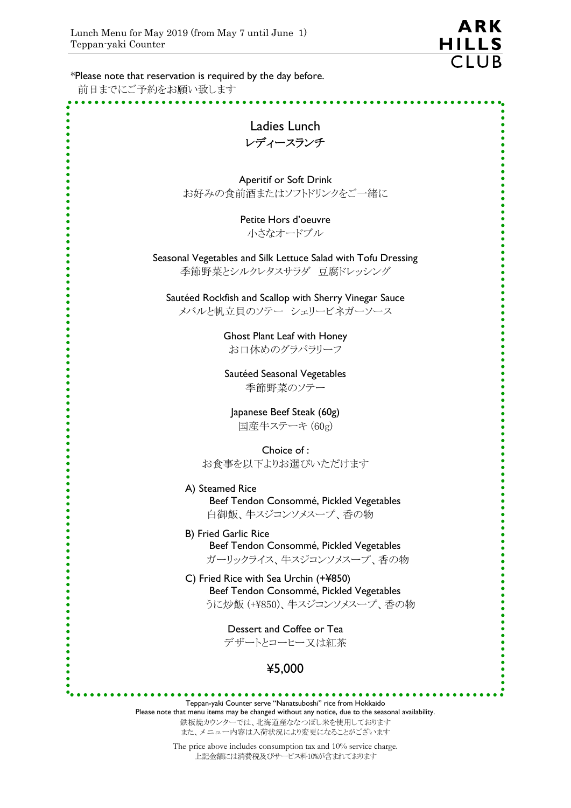$\bullet$  $\ddot{\bullet}$ 

 $\ddot{\bullet}$ 

 $\ddot{\bullet}$  $\ddot{\bullet}$  $\ddot{\bullet}$  $\bullet$  $\ddot{\bullet}$ 

 $\bullet$ 

 $\bullet$  $\bullet$ 

 $\bullet$ 



 $\bullet$ 

| *Please note that reservation is required by the day before. |
|--------------------------------------------------------------|
| 前日までにご予約をお願い致します                                             |

Ladies Lunch レディースランチ

Aperitif or Soft Drink お好みの食前酒またはソフトドリンクをご一緒に

> Petite Hors d'oeuvre 小さなオードブル

Seasonal Vegetables and Silk Lettuce Salad with Tofu Dressing 季節野菜とシルクレタスサラダ 豆腐ドレッシング

Sautéed Rockfish and Scallop with Sherry Vinegar Sauce メバルと帆立貝のソテー シェリービネガーソース

> Ghost Plant Leaf with Honey お口休めのグラパラリーフ

Sautéed Seasonal Vegetables 季節野菜のソテー

Japanese Beef Steak (60g) 国産牛ステーキ (60g)

Choice of : お食事を以下よりお選びいただけます

A) Steamed Rice Beef Tendon Consommé, Pickled Vegetables 白御飯、牛スジコンソメスープ、香の物

- B) Fried Garlic Rice Beef Tendon Consommé, Pickled Vegetables ガーリックライス、牛スジコンソメスープ、香の物
- C) Fried Rice with Sea Urchin (+¥850) Beef Tendon Consommé, Pickled Vegetables うに炒飯 (+¥850)、牛スジコンソメスープ、香の物

Dessert and Coffee or Tea デザートとコーヒー又は紅茶

# ¥5,000

Teppan-yaki Counter serve "Nanatsuboshi" rice from Hokkaido Please note that menu items may be changed without any notice, due to the seasonal availability. 鉄板焼カウンターでは、北海道産ななつぼし米を使用しております

また、メニュー内容は入荷状況により変更になることがございます The price above includes consumption tax and 10% service charge.

上記金額には消費税及びサービス料10%が含まれております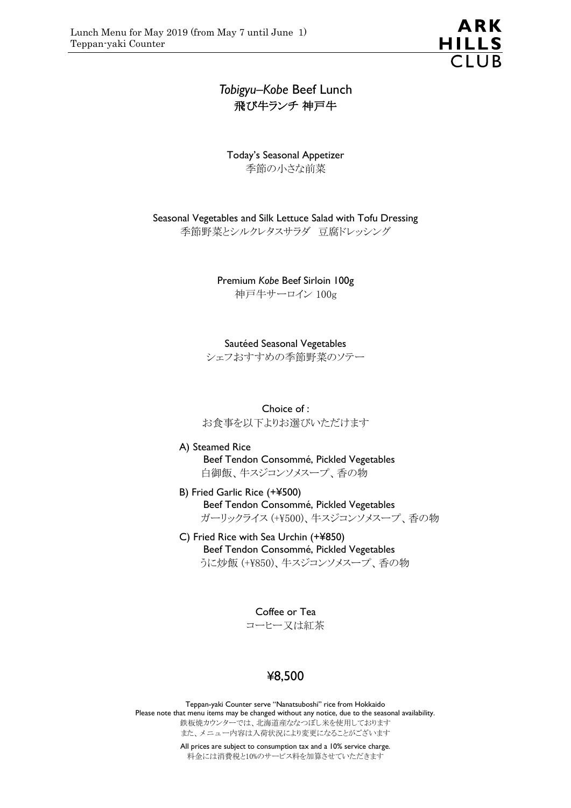ARK HILLS<br>CLUB

# *Tobigyu–Kobe* Beef Lunch 飛び牛ランチ 神戸牛

Today's Seasonal Appetizer 季節の小さな前菜

Seasonal Vegetables and Silk Lettuce Salad with Tofu Dressing 季節野菜とシルクレタスサラダ 豆腐ドレッシング

Premium *Kobe* Beef Sirloin 100g

神戸牛サーロイン 100g

Sautéed Seasonal Vegetables シェフおすすめの季節野菜のソテー

Choice of :

お食事を以下よりお選びいただけます

A) Steamed Rice Beef Tendon Consommé, Pickled Vegetables 白御飯、牛スジコンソメスープ、香の物

- B) Fried Garlic Rice (+¥500) Beef Tendon Consommé, Pickled Vegetables ガーリックライス (+¥500)、牛スジコンソメスープ、香の物
- C) Fried Rice with Sea Urchin (+¥850) Beef Tendon Consommé, Pickled Vegetables うに炒飯 (+¥850)、牛スジコンソメスープ、香の物

Coffee or Tea

コーヒー又は紅茶

### ¥8,500

Teppan-yaki Counter serve "Nanatsuboshi" rice from Hokkaido Please note that menu items may be changed without any notice, due to the seasonal availability. 鉄板焼カウンターでは、北海道産ななつぼし米を使用しております また、メニュー内容は入荷状況により変更になることがございます